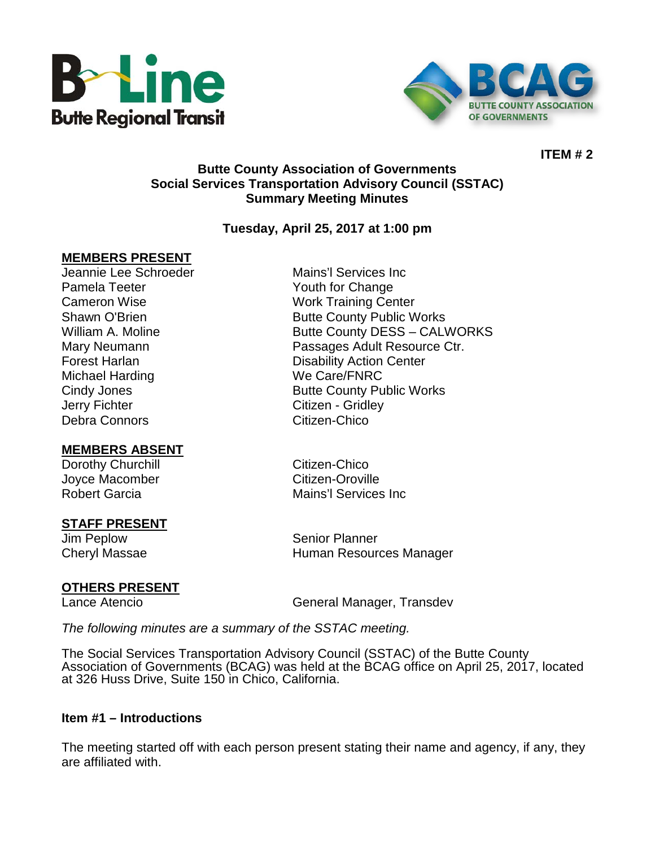



**ITEM # 2**

### **Butte County Association of Governments Social Services Transportation Advisory Council (SSTAC) Summary Meeting Minutes**

### **Tuesday, April 25, 2017 at 1:00 pm**

### **MEMBERS PRESENT**

Pamela Teeter **The Change Strutter Change** Youth for Change Michael Harding We Care/FNRC Jerry Fichter **Citizen** - Gridley Debra Connors **Citizen-Chico** 

### **MEMBERS ABSENT**

Dorothy Churchill **Citizen-Chico** Joyce Macomber **Citizen-Oroville** Robert Garcia **Mains'**l Services Inc

### **STAFF PRESENT**

Jim Peplow Senior Planner Cheryl Massae **Human Resources Manager** Human Resources Manager

# **OTHERS PRESENT**<br>Lance Atencio

General Manager, Transdev

*The following minutes are a summary of the SSTAC meeting.* 

The Social Services Transportation Advisory Council (SSTAC) of the Butte County Association of Governments (BCAG) was held at the BCAG office on April 25, 2017, located at 326 Huss Drive, Suite 150 in Chico, California.

### **Item #1 – Introductions**

The meeting started off with each person present stating their name and agency, if any, they are affiliated with.

Jeannie Lee Schroeder Mains'l Services Inc Cameron Wise Work Training Center Shawn O'Brien **Butte County Public Works** William A. Moline **Butte County DESS – CALWORKS** Mary Neumann Passages Adult Resource Ctr. **Forest Harlan Center Contract Contract Center** Disability Action Center Cindy Jones **Butte County Public Works**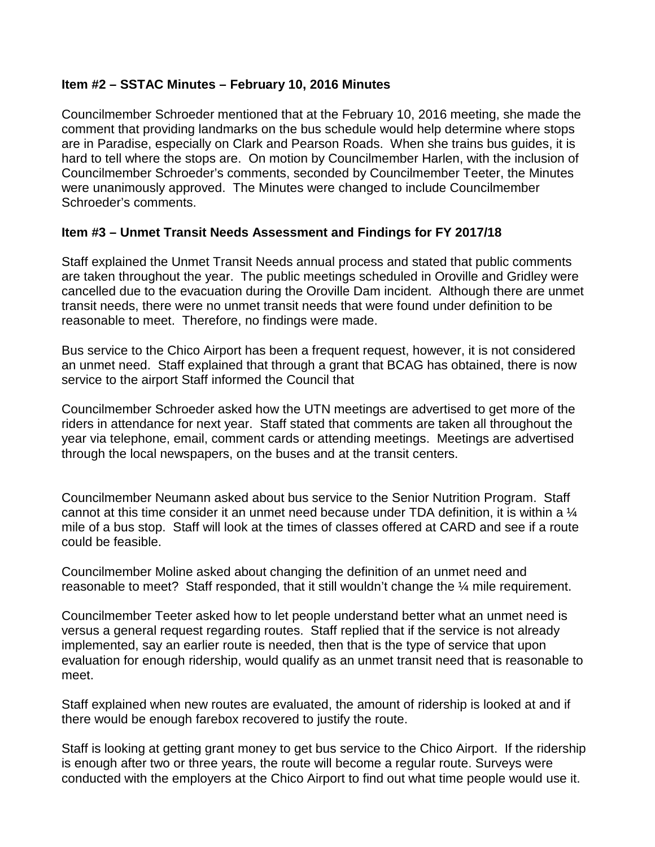### **Item #2 – SSTAC Minutes – February 10, 2016 Minutes**

Councilmember Schroeder mentioned that at the February 10, 2016 meeting, she made the comment that providing landmarks on the bus schedule would help determine where stops are in Paradise, especially on Clark and Pearson Roads. When she trains bus guides, it is hard to tell where the stops are. On motion by Councilmember Harlen, with the inclusion of Councilmember Schroeder's comments, seconded by Councilmember Teeter, the Minutes were unanimously approved. The Minutes were changed to include Councilmember Schroeder's comments.

## **Item #3 – Unmet Transit Needs Assessment and Findings for FY 2017/18**

Staff explained the Unmet Transit Needs annual process and stated that public comments are taken throughout the year. The public meetings scheduled in Oroville and Gridley were cancelled due to the evacuation during the Oroville Dam incident. Although there are unmet transit needs, there were no unmet transit needs that were found under definition to be reasonable to meet. Therefore, no findings were made.

Bus service to the Chico Airport has been a frequent request, however, it is not considered an unmet need. Staff explained that through a grant that BCAG has obtained, there is now service to the airport Staff informed the Council that

Councilmember Schroeder asked how the UTN meetings are advertised to get more of the riders in attendance for next year. Staff stated that comments are taken all throughout the year via telephone, email, comment cards or attending meetings. Meetings are advertised through the local newspapers, on the buses and at the transit centers.

Councilmember Neumann asked about bus service to the Senior Nutrition Program. Staff cannot at this time consider it an unmet need because under TDA definition, it is within a  $\mathcal{U}$ mile of a bus stop. Staff will look at the times of classes offered at CARD and see if a route could be feasible.

Councilmember Moline asked about changing the definition of an unmet need and reasonable to meet? Staff responded, that it still wouldn't change the ¼ mile requirement.

Councilmember Teeter asked how to let people understand better what an unmet need is versus a general request regarding routes. Staff replied that if the service is not already implemented, say an earlier route is needed, then that is the type of service that upon evaluation for enough ridership, would qualify as an unmet transit need that is reasonable to meet.

Staff explained when new routes are evaluated, the amount of ridership is looked at and if there would be enough farebox recovered to justify the route.

Staff is looking at getting grant money to get bus service to the Chico Airport. If the ridership is enough after two or three years, the route will become a regular route. Surveys were conducted with the employers at the Chico Airport to find out what time people would use it.